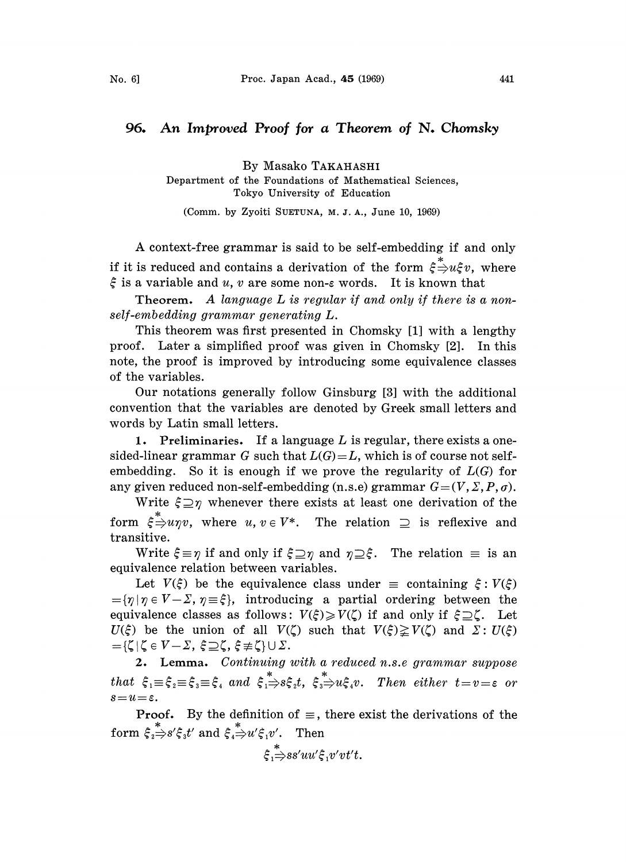## 96. An Improved Proof for a Theorem of N. Chomsky

By Masako TAKAHASHI Department of the Foundations of Mathematical Sciences, Tokyo. University of Education

(Comm. by Zyoiti SUETUNA, M. J. A., June 10, 1969)

A context-free grammar is said to be self-embedding if and only if it is reduced and contains a derivation of the form  $\zeta \rightarrow u \zeta v$ , where  $\xi$  is a variable and u, v are some non- $\varepsilon$  words. It is known that

Theorem. A language  $L$  is regular if and only if there is a nonself-embedding grammar generating L.

This theorem was first presented in Chomsky [1] with a lengthy proof. Later a simplified proof was given in Chomsky [2]. In this note, the proof is improved by introducing some equivalence classes of the variables.

Our notations generally follow Ginsburg [3] with the additional convention that the variables are denoted by Greek small letters and words by Latin small letters.

1. Preliminaries. If a language  $L$  is regular, there exists a onesided-linear grammar G such that  $L(G) = L$ , which is of course not selfembedding. So it is enough if we prove the regularity of  $L(G)$  for any given reduced non-self-embedding (n.s.e) grammar  $G=(V, \Sigma, P, \sigma)$ .

Write  $\xi \supseteq \eta$  whenever there exists at least one derivation of the form  $\zeta \stackrel{*}{\Rightarrow} u\eta v$ , where  $u, v \in V^*$ . The relation  $\supseteq$  is reflexive and transitive.

Write  $\xi \equiv \eta$  if and only if  $\xi \supseteq \eta$  and  $\eta \supseteq \xi$ . The relation  $\equiv$  is an equivalence relation between variables.

Let  $V(\xi)$  be the equivalence class under  $\equiv$  containing  $\xi : V(\xi) = {\eta | \eta \in V - \Sigma, \eta \equiv \xi},$  introducing a partial ordering between the Let  $V(\xi)$  be the equivalence class under  $\equiv$  containing  $\xi: V(\xi)$ equivalence classes as follows:  $V(\xi) \geq V(\zeta)$  if and only if  $\xi \supseteq \zeta$ . Let  $U(\xi)$  be the union of all  $V(\zeta)$  such that  $V(\xi)\geq V(\zeta)$  and  $\Sigma: U(\xi)$  $=\{\zeta | \zeta \in V-\Sigma, \xi \supseteq \zeta, \xi \not\equiv \zeta\} \cup \Sigma.$ 

2. Lemma. Continuing with a reduced n.s.e grammar suppose that  $\xi_1 \equiv \xi_2 \equiv \xi_3 \equiv \xi_4$  and  $\xi_1 \Rightarrow s\xi_2 t$ ,  $\xi_3 \Rightarrow u\xi_4 v$ . Then either  $t=v=\varepsilon$  or  $s=u=\varepsilon$ .

**Proof.** By the definition of  $\equiv$ , there exist the derivations of the form  $\xi_i \stackrel{*}{\Rightarrow} s' \xi_i t'$  and  $\xi_i \stackrel{*}{\Rightarrow} u' \xi_i v'$ . Then

 $\xi \stackrel{*}{\Rightarrow}$ ss'uu' $\xi$ , v'vt't.